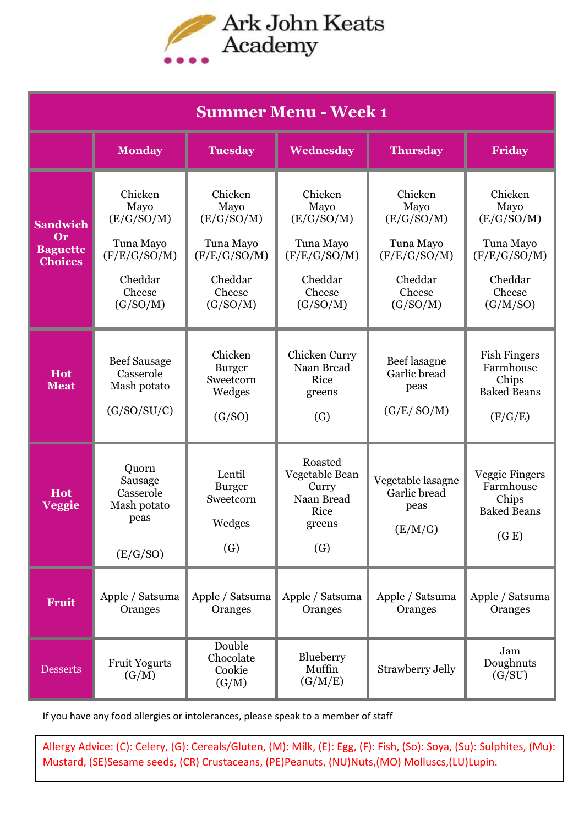

| <b>Summer Menu - Week 1</b>                                       |                                                                                             |                                                                                             |                                                                                             |                                                                                             |                                                                                             |  |  |  |
|-------------------------------------------------------------------|---------------------------------------------------------------------------------------------|---------------------------------------------------------------------------------------------|---------------------------------------------------------------------------------------------|---------------------------------------------------------------------------------------------|---------------------------------------------------------------------------------------------|--|--|--|
|                                                                   | <b>Monday</b>                                                                               | <b>Tuesday</b>                                                                              | Wednesday                                                                                   | <b>Thursday</b>                                                                             | Friday                                                                                      |  |  |  |
| <b>Sandwich</b><br><b>Or</b><br><b>Baguette</b><br><b>Choices</b> | Chicken<br>Mayo<br>(E/G/SO/M)<br>Tuna Mayo<br>(F/E/G/SO/M)<br>Cheddar<br>Cheese<br>(G/SO/M) | Chicken<br>Mayo<br>(E/G/SO/M)<br>Tuna Mayo<br>(F/E/G/SO/M)<br>Cheddar<br>Cheese<br>(G/SO/M) | Chicken<br>Mayo<br>(E/G/SO/M)<br>Tuna Mayo<br>(F/E/G/SO/M)<br>Cheddar<br>Cheese<br>(G/SO/M) | Chicken<br>Mayo<br>(E/G/SO/M)<br>Tuna Mayo<br>(F/E/G/SO/M)<br>Cheddar<br>Cheese<br>(G/SO/M) | Chicken<br>Mayo<br>(E/G/SO/M)<br>Tuna Mayo<br>(F/E/G/SO/M)<br>Cheddar<br>Cheese<br>(G/M/SO) |  |  |  |
| <b>Hot</b><br><b>Meat</b>                                         | <b>Beef Sausage</b><br>Casserole<br>Mash potato<br>(G/SO/SU/C)                              | Chicken<br><b>Burger</b><br>Sweetcorn<br>Wedges<br>(G/SO)                                   | Chicken Curry<br>Naan Bread<br>Rice<br>greens<br>(G)                                        | Beef lasagne<br>Garlic bread<br>peas<br>(G/E/SO/M)                                          | <b>Fish Fingers</b><br>Farmhouse<br>Chips<br><b>Baked Beans</b><br>(F/G/E)                  |  |  |  |
| <b>Hot</b><br><b>Veggie</b>                                       | Quorn<br>Sausage<br>Casserole<br>Mash potato<br>peas<br>(E/G/SO)                            | Lentil<br><b>Burger</b><br>Sweetcorn<br>Wedges<br>$\left( G\right)$                         | Roasted<br>Vegetable Bean<br>Curry<br>Naan Bread<br>Rice<br>greens<br>$\left( G\right)$     | Vegetable lasagne<br>Garlic bread<br>peas<br>(E/M/G)                                        | Veggie Fingers<br>Farmhouse<br>Chips<br><b>Baked Beans</b><br>(G E)                         |  |  |  |
| <b>Fruit</b>                                                      | Apple / Satsuma<br>Oranges                                                                  | Apple / Satsuma<br>Oranges                                                                  | Apple / Satsuma<br>Oranges                                                                  | Apple / Satsuma<br>Oranges                                                                  | Apple / Satsuma<br>Oranges                                                                  |  |  |  |
| <b>Desserts</b>                                                   | <b>Fruit Yogurts</b><br>(G/M)                                                               | Double<br>Chocolate<br>Cookie<br>(G/M)                                                      | Blueberry<br>Muffin<br>(G/M/E)                                                              | <b>Strawberry Jelly</b>                                                                     | Jam<br>Doughnuts<br>(G/SU)                                                                  |  |  |  |

If you have any food allergies or intolerances, please speak to a member of staff

Allergy Advice: (C): Celery, (G): Cereals/Gluten, (M): Milk, (E): Egg, (F): Fish, (So): Soya, (Su): Sulphites, (Mu): Mustard, (SE)Sesame seeds, (CR) Crustaceans, (PE)Peanuts, (NU)Nuts,(MO) Molluscs,(LU)Lupin.